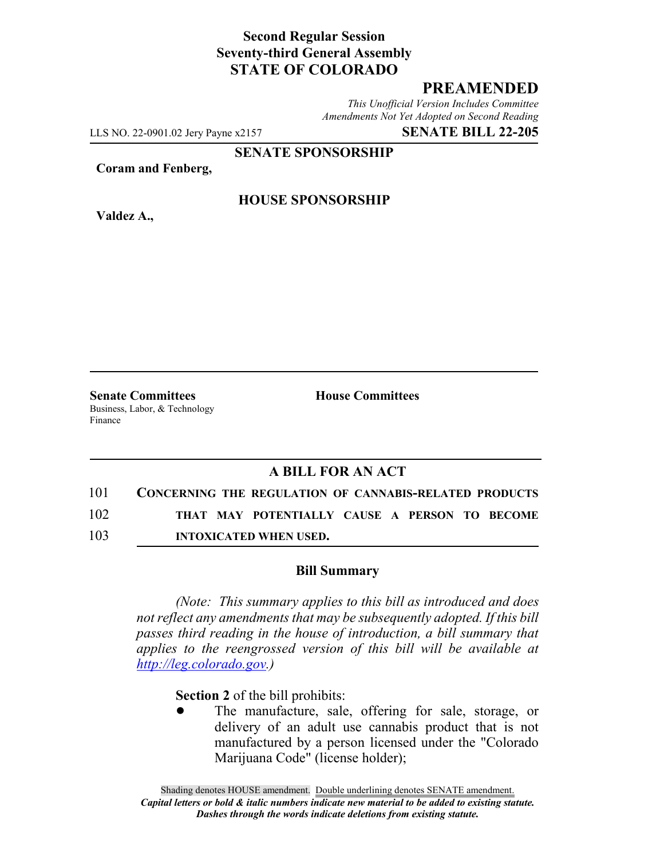## **Second Regular Session Seventy-third General Assembly STATE OF COLORADO**

# **PREAMENDED**

*This Unofficial Version Includes Committee Amendments Not Yet Adopted on Second Reading*

LLS NO. 22-0901.02 Jery Payne x2157 **SENATE BILL 22-205**

**SENATE SPONSORSHIP**

**Coram and Fenberg,**

**Valdez A.,**

#### **HOUSE SPONSORSHIP**

**Senate Committees House Committees** Business, Labor, & Technology Finance

## **A BILL FOR AN ACT**

101 **CONCERNING THE REGULATION OF CANNABIS-RELATED PRODUCTS**

102 **THAT MAY POTENTIALLY CAUSE A PERSON TO BECOME**

103 **INTOXICATED WHEN USED.**

#### **Bill Summary**

*(Note: This summary applies to this bill as introduced and does not reflect any amendments that may be subsequently adopted. If this bill passes third reading in the house of introduction, a bill summary that applies to the reengrossed version of this bill will be available at http://leg.colorado.gov.)*

**Section 2** of the bill prohibits:

The manufacture, sale, offering for sale, storage, or delivery of an adult use cannabis product that is not manufactured by a person licensed under the "Colorado Marijuana Code" (license holder);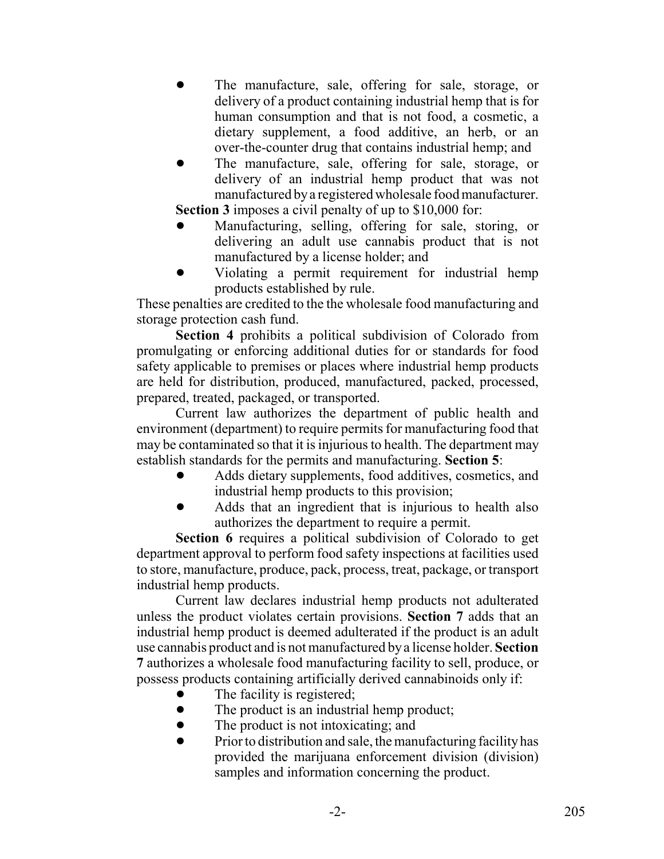- The manufacture, sale, offering for sale, storage, or delivery of a product containing industrial hemp that is for human consumption and that is not food, a cosmetic, a dietary supplement, a food additive, an herb, or an over-the-counter drug that contains industrial hemp; and
- The manufacture, sale, offering for sale, storage, or delivery of an industrial hemp product that was not manufactured by a registered wholesale food manufacturer. **Section 3** imposes a civil penalty of up to \$10,000 for:
- ! Manufacturing, selling, offering for sale, storing, or delivering an adult use cannabis product that is not manufactured by a license holder; and
- ! Violating a permit requirement for industrial hemp products established by rule.

These penalties are credited to the the wholesale food manufacturing and storage protection cash fund.

**Section 4** prohibits a political subdivision of Colorado from promulgating or enforcing additional duties for or standards for food safety applicable to premises or places where industrial hemp products are held for distribution, produced, manufactured, packed, processed, prepared, treated, packaged, or transported.

Current law authorizes the department of public health and environment (department) to require permits for manufacturing food that may be contaminated so that it is injurious to health. The department may establish standards for the permits and manufacturing. **Section 5**:

- ! Adds dietary supplements, food additives, cosmetics, and industrial hemp products to this provision;
- ! Adds that an ingredient that is injurious to health also authorizes the department to require a permit.

**Section 6** requires a political subdivision of Colorado to get department approval to perform food safety inspections at facilities used to store, manufacture, produce, pack, process, treat, package, or transport industrial hemp products.

Current law declares industrial hemp products not adulterated unless the product violates certain provisions. **Section 7** adds that an industrial hemp product is deemed adulterated if the product is an adult use cannabis product and is not manufactured by a license holder. **Section 7** authorizes a wholesale food manufacturing facility to sell, produce, or possess products containing artificially derived cannabinoids only if:

- The facility is registered;
- The product is an industrial hemp product;
- The product is not intoxicating; and
- $\bullet$  Prior to distribution and sale, the manufacturing facility has provided the marijuana enforcement division (division) samples and information concerning the product.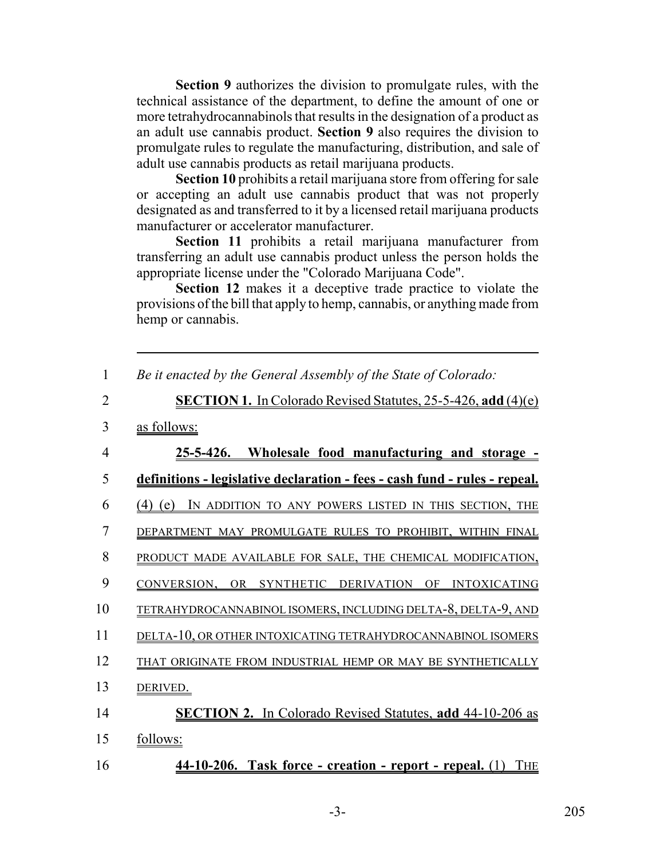**Section 9** authorizes the division to promulgate rules, with the technical assistance of the department, to define the amount of one or more tetrahydrocannabinols that results in the designation of a product as an adult use cannabis product. **Section 9** also requires the division to promulgate rules to regulate the manufacturing, distribution, and sale of adult use cannabis products as retail marijuana products.

**Section 10** prohibits a retail marijuana store from offering for sale or accepting an adult use cannabis product that was not properly designated as and transferred to it by a licensed retail marijuana products manufacturer or accelerator manufacturer.

**Section 11** prohibits a retail marijuana manufacturer from transferring an adult use cannabis product unless the person holds the appropriate license under the "Colorado Marijuana Code".

**Section 12** makes it a deceptive trade practice to violate the provisions of the bill that apply to hemp, cannabis, or anything made from hemp or cannabis.

| $\mathbf{1}$   | Be it enacted by the General Assembly of the State of Colorado:            |
|----------------|----------------------------------------------------------------------------|
| $\overline{2}$ | <b>SECTION 1.</b> In Colorado Revised Statutes, 25-5-426, add (4)(e)       |
| 3              | as follows:                                                                |
| 4              | 25-5-426. Wholesale food manufacturing and storage -                       |
| 5              | definitions - legislative declaration - fees - cash fund - rules - repeal. |
| 6              | IN ADDITION TO ANY POWERS LISTED IN THIS SECTION, THE<br>$(4)$ (e)         |
| 7              | DEPARTMENT MAY PROMULGATE RULES TO PROHIBIT, WITHIN FINAL                  |
| 8              | PRODUCT MADE AVAILABLE FOR SALE, THE CHEMICAL MODIFICATION,                |
| 9              | CONVERSION, OR SYNTHETIC DERIVATION OF INTOXICATING                        |
| 10             | TETRAHYDROCANNABINOL ISOMERS, INCLUDING DELTA-8, DELTA-9, AND              |
| 11             | DELTA-10, OR OTHER INTOXICATING TETRAHYDROCANNABINOL ISOMERS               |
| 12             | THAT ORIGINATE FROM INDUSTRIAL HEMP OR MAY BE SYNTHETICALLY                |
| 13             | DERIVED.                                                                   |
| 14             | <b>SECTION 2.</b> In Colorado Revised Statutes, add 44-10-206 as           |
| 15             | follows:                                                                   |
| 16             | 44-10-206. Task force - creation - report - repeal. (1) THE                |

-3- 205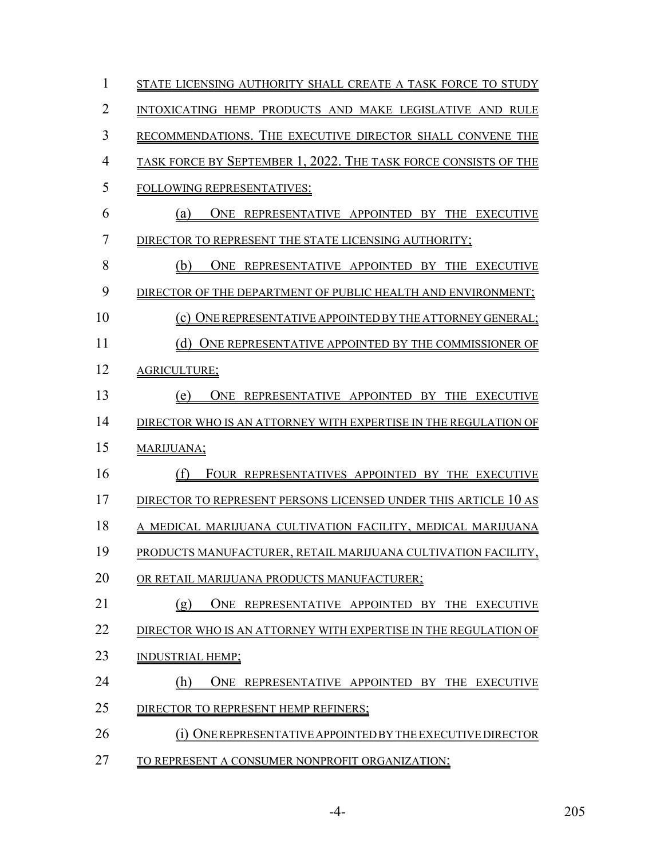| $\mathbf{1}$   | STATE LICENSING AUTHORITY SHALL CREATE A TASK FORCE TO STUDY    |
|----------------|-----------------------------------------------------------------|
| $\overline{2}$ | INTOXICATING HEMP PRODUCTS AND MAKE LEGISLATIVE AND RULE        |
| 3              | RECOMMENDATIONS. THE EXECUTIVE DIRECTOR SHALL CONVENE THE       |
| $\overline{4}$ | TASK FORCE BY SEPTEMBER 1, 2022. THE TASK FORCE CONSISTS OF THE |
| 5              | FOLLOWING REPRESENTATIVES:                                      |
| 6              | ONE REPRESENTATIVE APPOINTED BY THE EXECUTIVE<br>(a)            |
| $\overline{7}$ | DIRECTOR TO REPRESENT THE STATE LICENSING AUTHORITY;            |
| 8              | (b)<br>ONE REPRESENTATIVE APPOINTED BY THE EXECUTIVE            |
| 9              | DIRECTOR OF THE DEPARTMENT OF PUBLIC HEALTH AND ENVIRONMENT;    |
| 10             | (c) ONE REPRESENTATIVE APPOINTED BY THE ATTORNEY GENERAL;       |
| 11             | (d) ONE REPRESENTATIVE APPOINTED BY THE COMMISSIONER OF         |
| 12             | AGRICULTURE;                                                    |
| 13             | (e)<br>ONE REPRESENTATIVE APPOINTED BY THE EXECUTIVE            |
| 14             | DIRECTOR WHO IS AN ATTORNEY WITH EXPERTISE IN THE REGULATION OF |
| 15             | MARIJUANA;                                                      |
| 16             | (f)<br>FOUR REPRESENTATIVES APPOINTED BY THE EXECUTIVE          |
| 17             | DIRECTOR TO REPRESENT PERSONS LICENSED UNDER THIS ARTICLE 10 AS |
| 18             | A MEDICAL MARIJUANA CULTIVATION FACILITY, MEDICAL MARIJUANA     |
| 19             | PRODUCTS MANUFACTURER, RETAIL MARIJUANA CULTIVATION FACILITY,   |
| 20             | OR RETAIL MARIJUANA PRODUCTS MANUFACTURER;                      |
| 21             | (g)<br>ONE REPRESENTATIVE APPOINTED BY THE EXECUTIVE            |
| 22             | DIRECTOR WHO IS AN ATTORNEY WITH EXPERTISE IN THE REGULATION OF |
| 23             | INDUSTRIAL HEMP;                                                |
| 24             | (h)<br>ONE REPRESENTATIVE APPOINTED BY THE EXECUTIVE            |
| 25             | DIRECTOR TO REPRESENT HEMP REFINERS;                            |
| 26             | ONE REPRESENTATIVE APPOINTED BY THE EXECUTIVE DIRECTOR          |
| 27             | TO REPRESENT A CONSUMER NONPROFIT ORGANIZATION;                 |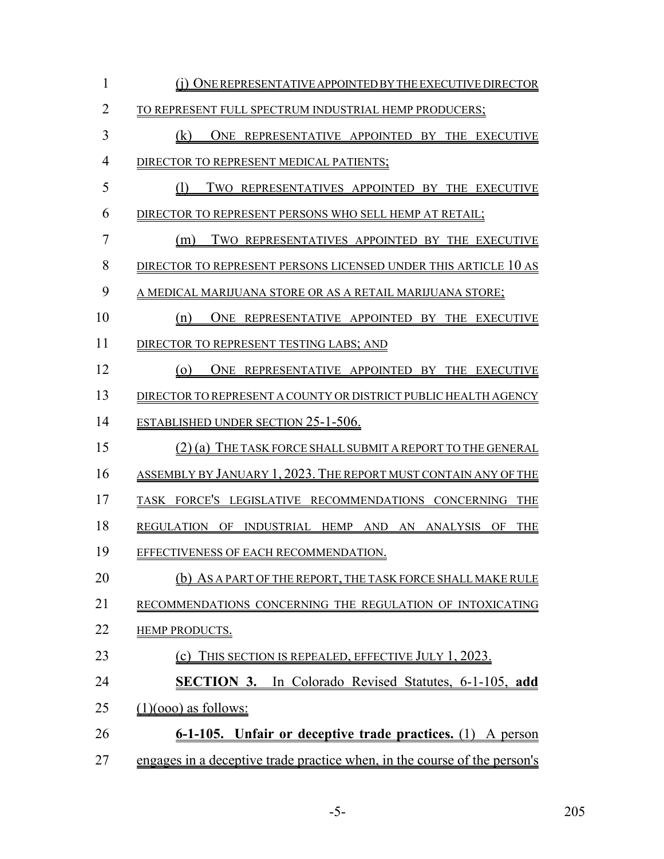| $\mathbf{1}$   | (i) ONE REPRESENTATIVE APPOINTED BY THE EXECUTIVE DIRECTOR                |
|----------------|---------------------------------------------------------------------------|
| $\overline{2}$ | TO REPRESENT FULL SPECTRUM INDUSTRIAL HEMP PRODUCERS;                     |
| 3              | (k)<br>ONE REPRESENTATIVE APPOINTED BY THE EXECUTIVE                      |
| $\overline{4}$ | DIRECTOR TO REPRESENT MEDICAL PATIENTS;                                   |
| 5              | (1)<br>TWO REPRESENTATIVES APPOINTED BY THE EXECUTIVE                     |
| 6              | DIRECTOR TO REPRESENT PERSONS WHO SELL HEMP AT RETAIL;                    |
| $\overline{7}$ | TWO REPRESENTATIVES APPOINTED BY THE EXECUTIVE<br>(m)                     |
| 8              | DIRECTOR TO REPRESENT PERSONS LICENSED UNDER THIS ARTICLE 10 AS           |
| 9              | A MEDICAL MARIJUANA STORE OR AS A RETAIL MARIJUANA STORE;                 |
| 10             | ONE REPRESENTATIVE APPOINTED BY THE EXECUTIVE<br>(n)                      |
| 11             | DIRECTOR TO REPRESENT TESTING LABS; AND                                   |
| 12             | $\circ$<br>ONE REPRESENTATIVE APPOINTED BY THE EXECUTIVE                  |
| 13             | DIRECTOR TO REPRESENT A COUNTY OR DISTRICT PUBLIC HEALTH AGENCY           |
| 14             | <b>ESTABLISHED UNDER SECTION 25-1-506.</b>                                |
| 15             | (2) (a) THE TASK FORCE SHALL SUBMIT A REPORT TO THE GENERAL               |
| 16             | ASSEMBLY BY JANUARY 1, 2023. THE REPORT MUST CONTAIN ANY OF THE           |
| 17             | TASK FORCE'S LEGISLATIVE RECOMMENDATIONS CONCERNING THE                   |
| 18             | REGULATION OF INDUSTRIAL HEMP AND AN ANALYSIS OF<br><b>THE</b>            |
| 19             | EFFECTIVENESS OF EACH RECOMMENDATION.                                     |
| 20             | (b) AS A PART OF THE REPORT, THE TASK FORCE SHALL MAKE RULE               |
| 21             | RECOMMENDATIONS CONCERNING THE REGULATION OF INTOXICATING                 |
| 22             | <b>HEMP PRODUCTS.</b>                                                     |
| 23             | THIS SECTION IS REPEALED, EFFECTIVE JULY 1, 2023.<br>(c)                  |
| 24             | <b>SECTION 3.</b> In Colorado Revised Statutes, 6-1-105, add              |
| 25             | $(1)(000)$ as follows:                                                    |
| 26             | 6-1-105. Unfair or deceptive trade practices. (1) A person                |
| 27             | engages in a deceptive trade practice when, in the course of the person's |